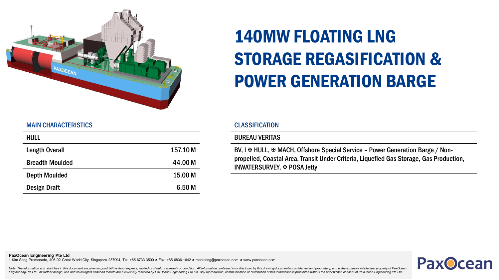

# 140MW FLOATING LNG STORAGE REGASIFICATION & POWER GENERATION BARGE

### MAIN CHARACTERISTICS

| <b>HULL</b>            |                   |
|------------------------|-------------------|
| <b>Length Overall</b>  | 157.10 M          |
| <b>Breadth Moulded</b> | 44.00 M           |
| <b>Depth Moulded</b>   | 15.00 M           |
| Design Draft           | 6.50 <sub>M</sub> |

## **CLASSIFICATION**

#### BUREAU VERITAS

BV, I  $\Phi$  HULL,  $\Phi$  MACH, Offshore Special Service - Power Generation Barge / Nonpropelled, Coastal Area, Transit Under Criteria, Liquefied Gas Storage, Gas Production, INWATERSURVEY, **EX POSA Jetty** 



Note: The information and sketches in this document are given in good faith without express, implied or statutory warranty or condition. All information contained in or disclosed by this drawing/document is confidential an Engineering Pte Ltd. All further design, use and sales rights attached thereto are exclusively reserved by PaxOcean Engineering Pte Ltd. Any reproduction, communication or distribution of this information is prohibited wit